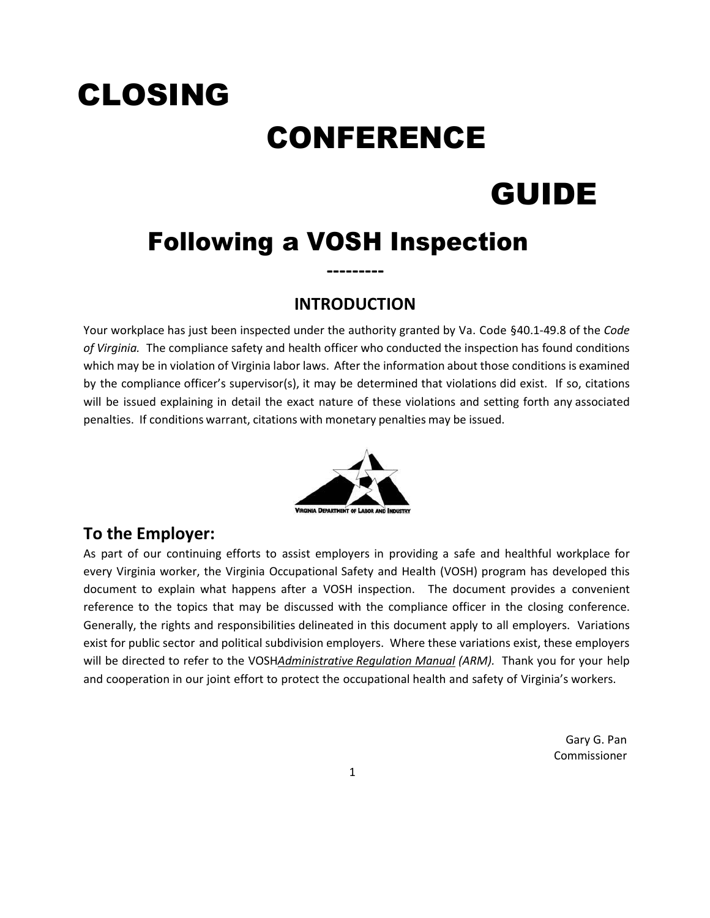# CLOSING CONFERENCE GUIDE

# Following a VOSH Inspection

# **INTRODUCTION**

**‐‐‐‐‐‐‐‐‐**

Your workplace has just been inspected under the authority granted by Va. Code §40.1‐49.8 of the *Code of Virginia.* The compliance safety and health officer who conducted the inspection has found conditions which may be in violation of Virginia labor laws. After the information about those conditions is examined by the compliance officer's supervisor(s), it may be determined that violations did exist. If so, citations will be issued explaining in detail the exact nature of these violations and setting forth any associated penalties. If conditions warrant, citations with monetary penalties may be issued.



# **To the Employer:**

As part of our continuing efforts to assist employers in providing a safe and healthful workplace for every Virginia worker, the Virginia Occupational Safety and Health (VOSH) program has developed this document to explain what happens after a VOSH inspection. The document provides a convenient reference to the topics that may be discussed with the compliance officer in the closing conference. Generally, the rights and responsibilities delineated in this document apply to all employers. Variations exist for public sector and political subdivision employers. Where these variations exist, these employers will be directed to refer to the VOSH*Administrative Regulation Manual (ARM).* Thank you for your help and cooperation in our joint effort to protect the occupational health and safety of Virginia's workers.

> Gary G. Pan Commissioner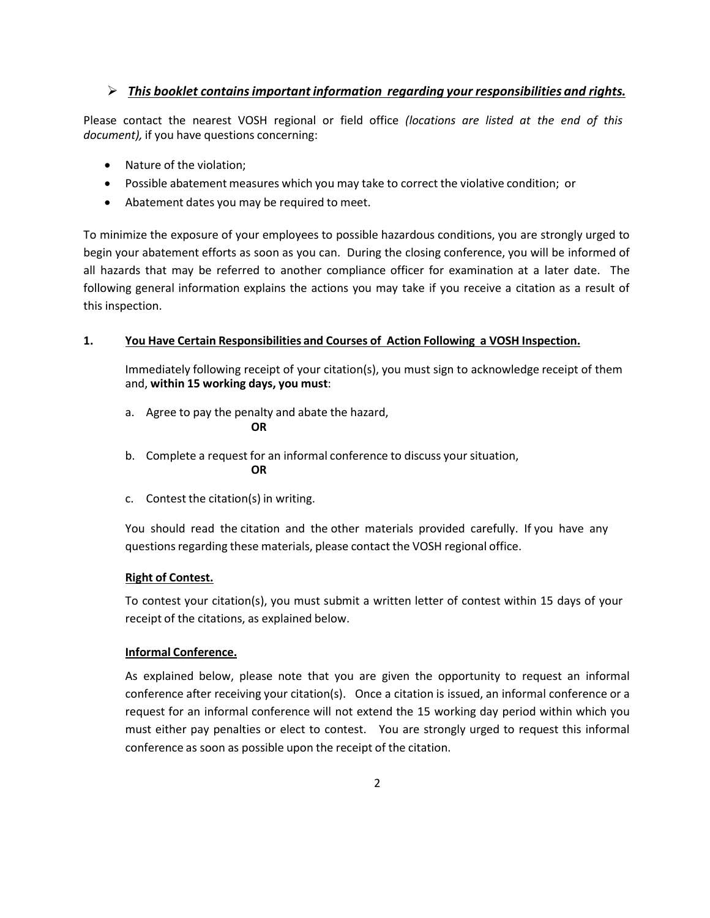# *This booklet containsimportant information regarding your responsibilities and rights.*

Please contact the nearest VOSH regional or field office *(locations are listed at the end of this document),* if you have questions concerning:

- Nature of the violation;
- Possible abatement measures which you may take to correct the violative condition; or
- Abatement dates you may be required to meet.

To minimize the exposure of your employees to possible hazardous conditions, you are strongly urged to begin your abatement efforts as soon as you can. During the closing conference, you will be informed of all hazards that may be referred to another compliance officer for examination at a later date. The following general information explains the actions you may take if you receive a citation as a result of this inspection.

# **1. You Have Certain Responsibilities and Courses of Action Following a VOSH Inspection.**

Immediately following receipt of your citation(s), you must sign to acknowledge receipt of them and, **within 15 working days, you must**:

- a. Agree to pay the penalty and abate the hazard, **OR**
- b. Complete a request for an informal conference to discuss your situation, **OR**
- c. Contest the citation(s) in writing.

You should read the citation and the other materials provided carefully. If you have any questions regarding these materials, please contact the VOSH regional office.

# **Right of Contest.**

To contest your citation(s), you must submit a written letter of contest within 15 days of your receipt of the citations, as explained below.

# **Informal Conference.**

As explained below, please note that you are given the opportunity to request an informal conference after receiving your citation(s). Once a citation is issued, an informal conference or a request for an informal conference will not extend the 15 working day period within which you must either pay penalties or elect to contest. You are strongly urged to request this informal conference as soon as possible upon the receipt of the citation.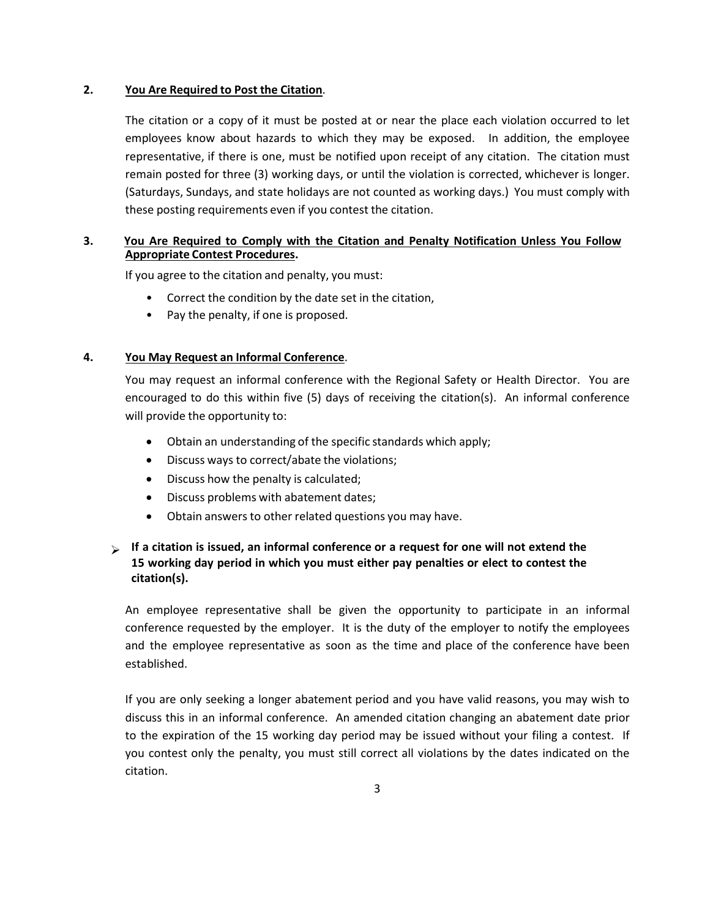## **2. You Are Required to Post the Citation**.

The citation or a copy of it must be posted at or near the place each violation occurred to let employees know about hazards to which they may be exposed. In addition, the employee representative, if there is one, must be notified upon receipt of any citation. The citation must remain posted for three (3) working days, or until the violation is corrected, whichever is longer. (Saturdays, Sundays, and state holidays are not counted as working days.) You must comply with these posting requirements even if you contest the citation.

## **3. You Are Required to Comply with the Citation and Penalty Notification Unless You Follow Appropriate Contest Procedures.**

If you agree to the citation and penalty, you must:

- Correct the condition by the date set in the citation,
- Pay the penalty, if one is proposed.

### **4. You May Request an Informal Conference**.

You may request an informal conference with the Regional Safety or Health Director. You are encouraged to do this within five (5) days of receiving the citation(s). An informal conference will provide the opportunity to:

- Obtain an understanding of the specific standards which apply;
- Discuss ways to correct/abate the violations;
- Discuss how the penalty is calculated;
- Discuss problems with abatement dates;
- Obtain answers to other related questions you may have.

# **If a citation is issued, an informal conference or a request for one will not extend the 15 working day period in which you must either pay penalties or elect to contest the citation(s).**

An employee representative shall be given the opportunity to participate in an informal conference requested by the employer. It is the duty of the employer to notify the employees and the employee representative as soon as the time and place of the conference have been established.

If you are only seeking a longer abatement period and you have valid reasons, you may wish to discuss this in an informal conference. An amended citation changing an abatement date prior to the expiration of the 15 working day period may be issued without your filing a contest. If you contest only the penalty, you must still correct all violations by the dates indicated on the citation.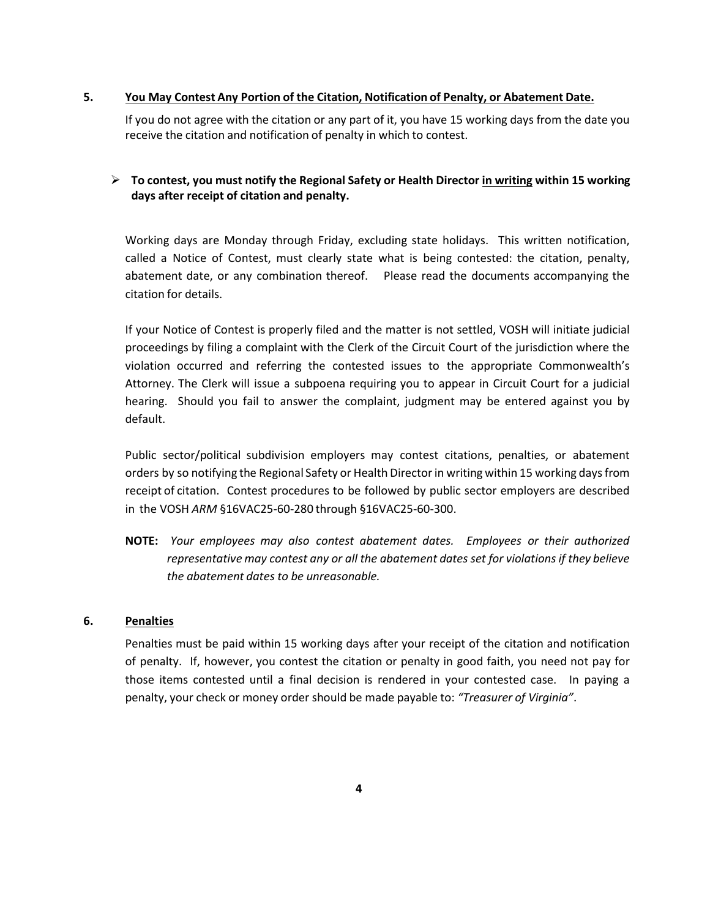### **5. You May Contest Any Portion of the Citation, Notification of Penalty, or Abatement Date.**

If you do not agree with the citation or any part of it, you have 15 working days from the date you receive the citation and notification of penalty in which to contest.

# **To contest, you must notify the Regional Safety or Health Director in writing within 15 working days after receipt of citation and penalty.**

Working days are Monday through Friday, excluding state holidays. This written notification, called a Notice of Contest, must clearly state what is being contested: the citation, penalty, abatement date, or any combination thereof. Please read the documents accompanying the citation for details.

If your Notice of Contest is properly filed and the matter is not settled, VOSH will initiate judicial proceedings by filing a complaint with the Clerk of the Circuit Court of the jurisdiction where the violation occurred and referring the contested issues to the appropriate Commonwealth's Attorney. The Clerk will issue a subpoena requiring you to appear in Circuit Court for a judicial hearing. Should you fail to answer the complaint, judgment may be entered against you by default.

Public sector/political subdivision employers may contest citations, penalties, or abatement orders by so notifying the Regional Safety or Health Directorin writing within 15 working daysfrom receipt of citation. Contest procedures to be followed by public sector employers are described in the VOSH *ARM* §16VAC25‐60‐280 through §16VAC25‐60‐300.

**NOTE:** *Your employees may also contest abatement dates. Employees or their authorized representative may contest any or all the abatement dates set for violations if they believe the abatement dates to be unreasonable.*

# **6. Penalties**

Penalties must be paid within 15 working days after your receipt of the citation and notification of penalty. If, however, you contest the citation or penalty in good faith, you need not pay for those items contested until a final decision is rendered in your contested case. In paying a penalty, your check or money order should be made payable to: *"Treasurer of Virginia"*.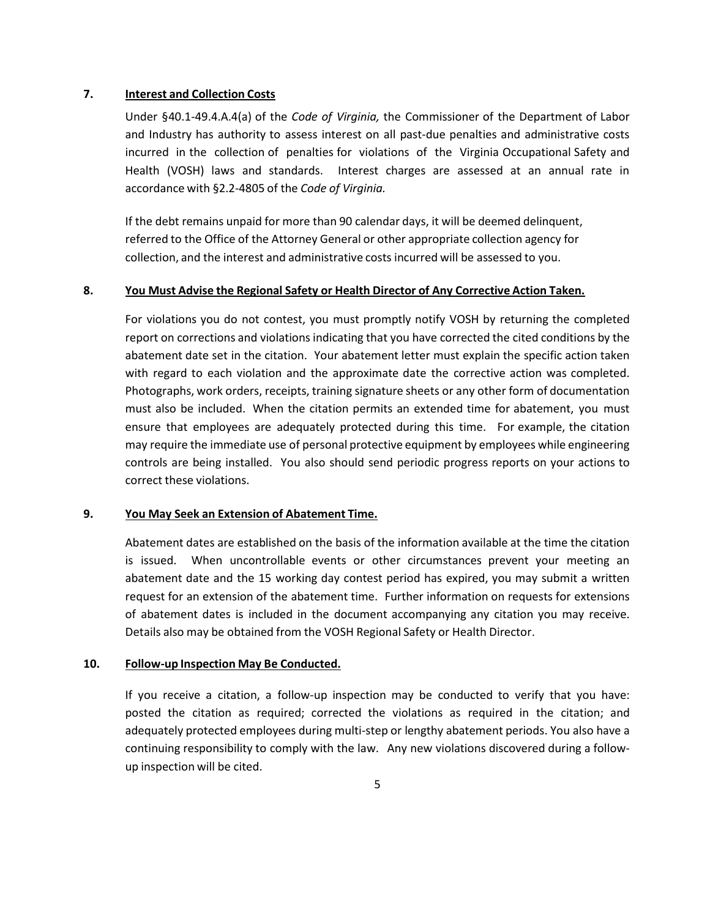#### **7. Interest and Collection Costs**

Under §40.1‐49.4.A.4(a) of the *Code of Virginia,* the Commissioner of the Department of Labor and Industry has authority to assess interest on all past‐due penalties and administrative costs incurred in the collection of penalties for violations of the Virginia Occupational Safety and Health (VOSH) laws and standards. Interest charges are assessed at an annual rate in accordance with §2.2‐4805 of the *Code of Virginia.*

If the debt remains unpaid for more than 90 calendar days, it will be deemed delinquent, referred to the Office of the Attorney General or other appropriate collection agency for collection, and the interest and administrative costs incurred will be assessed to you.

# **8. You Must Advise the Regional Safety or Health Director of Any Corrective Action Taken.**

For violations you do not contest, you must promptly notify VOSH by returning the completed report on corrections and violations indicating that you have corrected the cited conditions by the abatement date set in the citation. Your abatement letter must explain the specific action taken with regard to each violation and the approximate date the corrective action was completed. Photographs, work orders, receipts, training signature sheets or any other form of documentation must also be included. When the citation permits an extended time for abatement, you must ensure that employees are adequately protected during this time. For example, the citation may require the immediate use of personal protective equipment by employees while engineering controls are being installed. You also should send periodic progress reports on your actions to correct these violations.

#### **9. You May Seek an Extension of Abatement Time.**

Abatement dates are established on the basis of the information available at the time the citation is issued. When uncontrollable events or other circumstances prevent your meeting an abatement date and the 15 working day contest period has expired, you may submit a written request for an extension of the abatement time. Further information on requests for extensions of abatement dates is included in the document accompanying any citation you may receive. Details also may be obtained from the VOSH Regional Safety or Health Director.

#### **10. Follow‐up Inspection May Be Conducted.**

If you receive a citation, a follow‐up inspection may be conducted to verify that you have: posted the citation as required; corrected the violations as required in the citation; and adequately protected employees during multi‐step or lengthy abatement periods. You also have a continuing responsibility to comply with the law. Any new violations discovered during a follow‐ up inspection will be cited.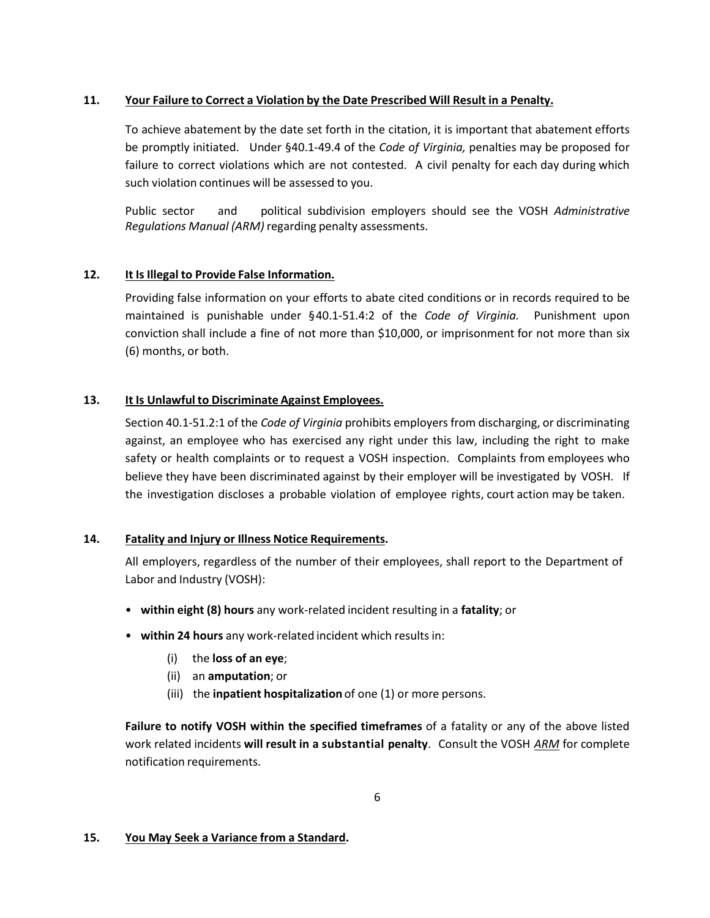# **11. Your Failure to Correct a Violation by the Date Prescribed Will Result in a Penalty.**

To achieve abatement by the date set forth in the citation, it is important that abatement efforts be promptly initiated. Under §40.1‐49.4 of the *Code of Virginia,* penalties may be proposed for failure to correct violations which are not contested. A civil penalty for each day during which such violation continues will be assessed to you.

Public sector and political subdivision employers should see the VOSH *Administrative Regulations Manual (ARM)* regarding penalty assessments.

# **12. It Is Illegal to Provide False Information.**

Providing false information on your efforts to abate cited conditions or in records required to be maintained is punishable under §40.1‐51.4:2 of the *Code of Virginia.* Punishment upon conviction shall include a fine of not more than \$10,000, or imprisonment for not more than six (6) months, or both.

# **13. It Is Unlawful to Discriminate Against Employees.**

Section 40.1‐51.2:1 of the *Code of Virginia* prohibits employersfrom discharging, or discriminating against, an employee who has exercised any right under this law, including the right to make safety or health complaints or to request a VOSH inspection. Complaints from employees who believe they have been discriminated against by their employer will be investigated by VOSH. If the investigation discloses a probable violation of employee rights, court action may be taken.

# **14. Fatality and Injury or Illness Notice Requirements.**

All employers, regardless of the number of their employees, shall report to the Department of Labor and Industry (VOSH):

- **within eight (8) hours** any work‐related incident resulting in a **fatality**; or
- **within 24 hours** any work‐related incident which results in:
	- (i) the **loss of an eye**;
	- (ii) an **amputation**; or
	- (iii) the **inpatient hospitalization** of one (1) or more persons.

**Failure to notify VOSH within the specified timeframes** of a fatality or any of the above listed work related incidents **will result in a substantial penalty**. Consult the VOSH *ARM* for complete notification requirements.

# **15. You May Seek a Variance from a Standard.**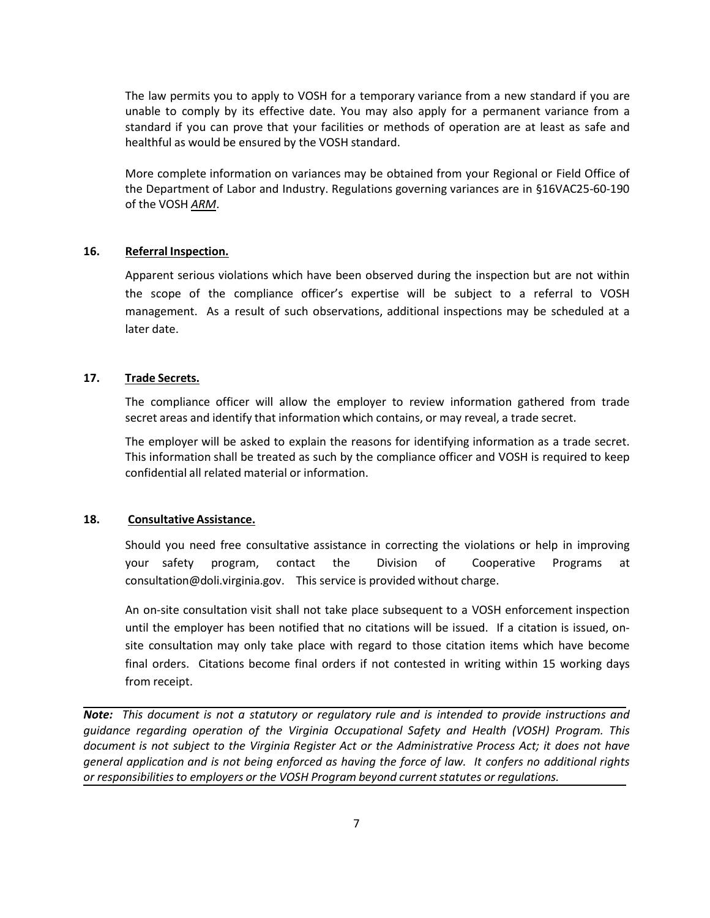The law permits you to apply to VOSH for a temporary variance from a new standard if you are unable to comply by its effective date. You may also apply for a permanent variance from a standard if you can prove that your facilities or methods of operation are at least as safe and healthful as would be ensured by the VOSH standard.

More complete information on variances may be obtained from your Regional or Field Office of the Department of Labor and Industry. Regulations governing variances are in §16VAC25‐60‐190 of the VOSH *ARM*.

### **16. Referral Inspection.**

Apparent serious violations which have been observed during the inspection but are not within the scope of the compliance officer's expertise will be subject to a referral to VOSH management. As a result of such observations, additional inspections may be scheduled at a later date.

### **17. Trade Secrets.**

The compliance officer will allow the employer to review information gathered from trade secret areas and identify that information which contains, or may reveal, a trade secret.

The employer will be asked to explain the reasons for identifying information as a trade secret. This information shall be treated as such by the compliance officer and VOSH is required to keep confidential all related material or information.

# **18. Consultative Assistance.**

Should you need free consultative assistance in correcting the violations or help in improving your safety program, contact the Division of Cooperative Programs at consultation@doli.virginia.gov. This service is provided without charge.

An on‐site consultation visit shall not take place subsequent to a VOSH enforcement inspection until the employer has been notified that no citations will be issued. If a citation is issued, on‐ site consultation may only take place with regard to those citation items which have become final orders. Citations become final orders if not contested in writing within 15 working days from receipt.

*Note: This document is not a statutory or regulatory rule and is intended to provide instructions and guidance regarding operation of the Virginia Occupational Safety and Health (VOSH) Program. This document is not subject to the Virginia Register Act or the Administrative Process Act; it does not have*  general application and is not being enforced as having the force of law. It confers no additional rights *or responsibilitiesto employers or the VOSH Program beyond current statutes or regulations.*